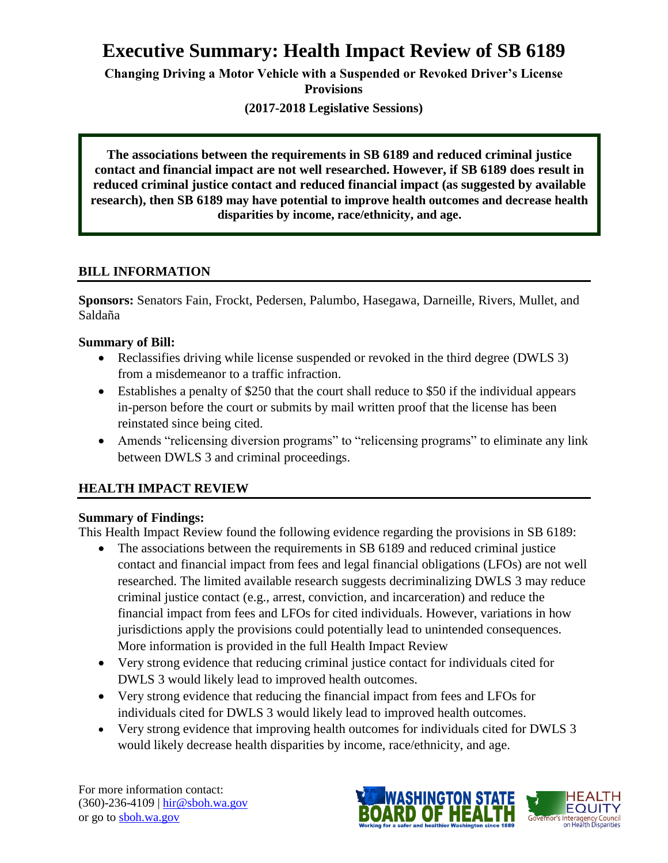# **Executive Summary: Health Impact Review of SB 6189**

**Changing Driving a Motor Vehicle with a Suspended or Revoked Driver's License Provisions**

**(2017-2018 Legislative Sessions)**

**The associations between the requirements in SB 6189 and reduced criminal justice contact and financial impact are not well researched. However, if SB 6189 does result in reduced criminal justice contact and reduced financial impact (as suggested by available research), then SB 6189 may have potential to improve health outcomes and decrease health disparities by income, race/ethnicity, and age.**

## **BILL INFORMATION**

**Sponsors:** Senators Fain, Frockt, Pedersen, Palumbo, Hasegawa, Darneille, Rivers, Mullet, and Saldaña

## **Summary of Bill:**

- Reclassifies driving while license suspended or revoked in the third degree (DWLS 3) from a misdemeanor to a traffic infraction.
- Establishes a penalty of \$250 that the court shall reduce to \$50 if the individual appears in-person before the court or submits by mail written proof that the license has been reinstated since being cited.
- Amends "relicensing diversion programs" to "relicensing programs" to eliminate any link between DWLS 3 and criminal proceedings.

# **HEALTH IMPACT REVIEW**

#### **Summary of Findings:**

This Health Impact Review found the following evidence regarding the provisions in SB 6189:

- The associations between the requirements in SB 6189 and reduced criminal justice contact and financial impact from fees and legal financial obligations (LFOs) are not well researched. The limited available research suggests decriminalizing DWLS 3 may reduce criminal justice contact (e.g., arrest, conviction, and incarceration) and reduce the financial impact from fees and LFOs for cited individuals. However, variations in how jurisdictions apply the provisions could potentially lead to unintended consequences. More information is provided in the full Health Impact Review
- Very strong evidence that reducing criminal justice contact for individuals cited for DWLS 3 would likely lead to improved health outcomes.
- Very strong evidence that reducing the financial impact from fees and LFOs for individuals cited for DWLS 3 would likely lead to improved health outcomes.
- Very strong evidence that improving health outcomes for individuals cited for DWLS 3 would likely decrease health disparities by income, race/ethnicity, and age.

For more information contact: (360)-236-4109 | [hir@sboh.wa.gov](mailto:hir@sboh.wa.gov) or go to [sboh.wa.gov](http://sboh.wa.gov/)

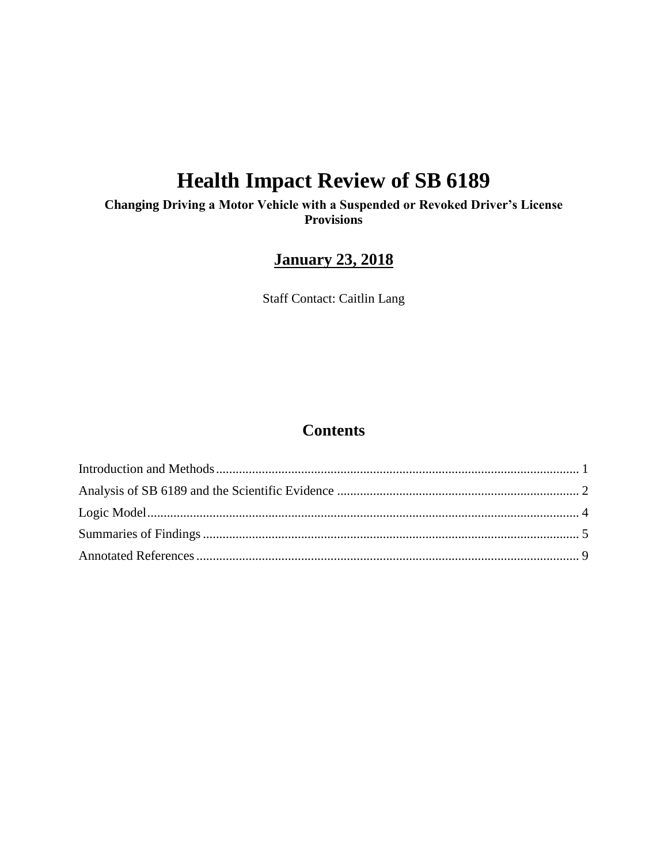# **Health Impact Review of SB 6189**

**Changing Driving a Motor Vehicle with a Suspended or Revoked Driver's License Provisions**

# **January 23, 2018**

Staff Contact: Caitlin Lang

# **Contents**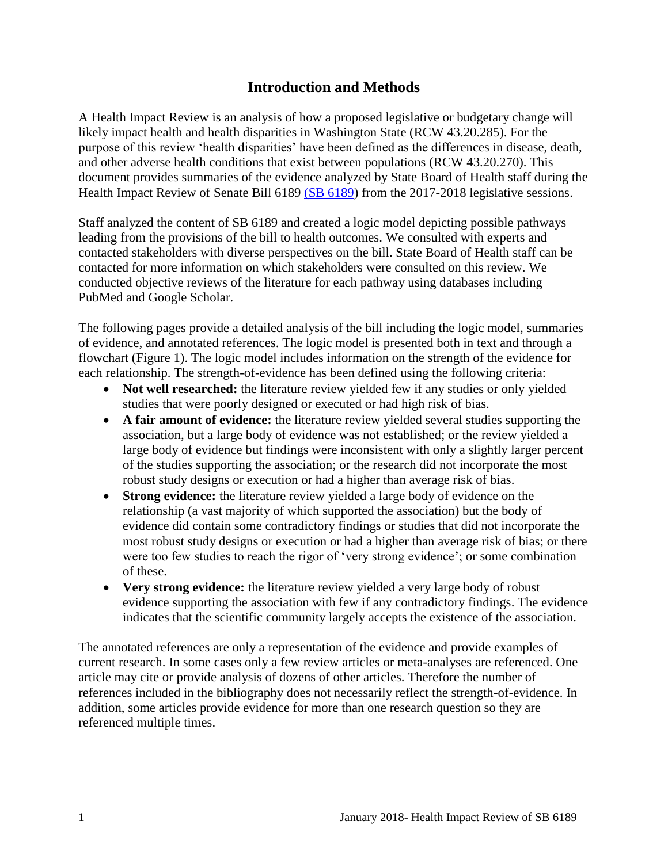# **Introduction and Methods**

<span id="page-2-0"></span>A Health Impact Review is an analysis of how a proposed legislative or budgetary change will likely impact health and health disparities in Washington State (RCW 43.20.285). For the purpose of this review 'health disparities' have been defined as the differences in disease, death, and other adverse health conditions that exist between populations (RCW 43.20.270). This document provides summaries of the evidence analyzed by State Board of Health staff during the Health Impact Review of Senate Bill 6189 [\(SB 6189\)](http://lawfilesext.leg.wa.gov/biennium/2017-18/Pdf/Bills/Senate%20Bills/6189.pdf) from the 2017-2018 legislative sessions.

Staff analyzed the content of SB 6189 and created a logic model depicting possible pathways leading from the provisions of the bill to health outcomes. We consulted with experts and contacted stakeholders with diverse perspectives on the bill. State Board of Health staff can be contacted for more information on which stakeholders were consulted on this review. We conducted objective reviews of the literature for each pathway using databases including PubMed and Google Scholar.

The following pages provide a detailed analysis of the bill including the logic model, summaries of evidence, and annotated references. The logic model is presented both in text and through a flowchart (Figure 1). The logic model includes information on the strength of the evidence for each relationship. The strength-of-evidence has been defined using the following criteria:

- **Not well researched:** the literature review yielded few if any studies or only yielded studies that were poorly designed or executed or had high risk of bias.
- **A fair amount of evidence:** the literature review yielded several studies supporting the association, but a large body of evidence was not established; or the review yielded a large body of evidence but findings were inconsistent with only a slightly larger percent of the studies supporting the association; or the research did not incorporate the most robust study designs or execution or had a higher than average risk of bias.
- **Strong evidence:** the literature review yielded a large body of evidence on the relationship (a vast majority of which supported the association) but the body of evidence did contain some contradictory findings or studies that did not incorporate the most robust study designs or execution or had a higher than average risk of bias; or there were too few studies to reach the rigor of 'very strong evidence'; or some combination of these.
- **Very strong evidence:** the literature review yielded a very large body of robust evidence supporting the association with few if any contradictory findings. The evidence indicates that the scientific community largely accepts the existence of the association.

The annotated references are only a representation of the evidence and provide examples of current research. In some cases only a few review articles or meta-analyses are referenced. One article may cite or provide analysis of dozens of other articles. Therefore the number of references included in the bibliography does not necessarily reflect the strength-of-evidence. In addition, some articles provide evidence for more than one research question so they are referenced multiple times.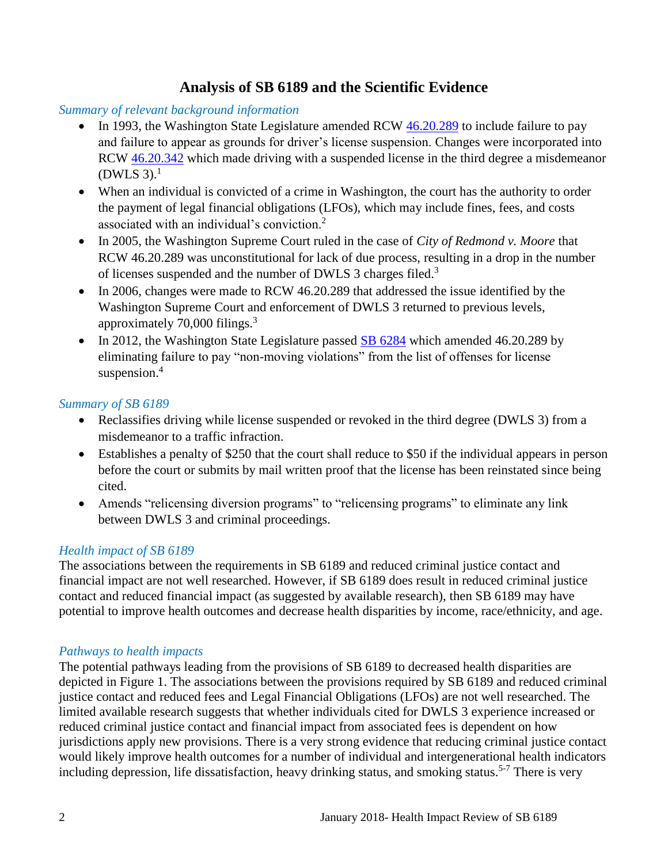# **Analysis of SB 6189 and the Scientific Evidence**

#### <span id="page-3-0"></span>*Summary of relevant background information*

- In 1993, the Washington State Legislature amended RCW [46.20.289](http://app.leg.wa.gov/rcw/default.aspx?cite=46.20.289) to include failure to pay and failure to appear as grounds for driver's license suspension. Changes were incorporated into RCW [46.20.342](http://lawfilesext.leg.wa.gov/biennium/1993-94/Pdf/Bills/Session%20Laws/House/1741-S.SL.pdf?cite=1993%20c%20501%20%C2%A7%201.) which made driving with a suspended license in the third degree a misdemeanor  $(DWLS 3).<sup>1</sup>$
- When an individual is convicted of a crime in Washington, the court has the authority to order the payment of legal financial obligations (LFOs), which may include fines, fees, and costs associated with an individual's conviction.<sup>2</sup>
- In 2005, the Washington Supreme Court ruled in the case of *City of Redmond v. Moore* that RCW 46.20.289 was unconstitutional for lack of due process, resulting in a drop in the number of licenses suspended and the number of DWLS 3 charges filed.<sup>3</sup>
- In 2006, changes were made to RCW 46.20.289 that addressed the issue identified by the Washington Supreme Court and enforcement of DWLS 3 returned to previous levels, approximately 70,000 filings.<sup>3</sup>
- In 2012, the Washington State Legislature passed  $\underline{\text{SB}}$  6284 which amended 46.20.289 by eliminating failure to pay "non-moving violations" from the list of offenses for license suspension.<sup>4</sup>

## *Summary of SB 6189*

- Reclassifies driving while license suspended or revoked in the third degree (DWLS 3) from a misdemeanor to a traffic infraction.
- Establishes a penalty of \$250 that the court shall reduce to \$50 if the individual appears in person before the court or submits by mail written proof that the license has been reinstated since being cited.
- Amends "relicensing diversion programs" to "relicensing programs" to eliminate any link between DWLS 3 and criminal proceedings.

# *Health impact of SB 6189*

The associations between the requirements in SB 6189 and reduced criminal justice contact and financial impact are not well researched. However, if SB 6189 does result in reduced criminal justice contact and reduced financial impact (as suggested by available research), then SB 6189 may have potential to improve health outcomes and decrease health disparities by income, race/ethnicity, and age.

#### *Pathways to health impacts*

The potential pathways leading from the provisions of SB 6189 to decreased health disparities are depicted in Figure 1. The associations between the provisions required by SB 6189 and reduced criminal justice contact and reduced fees and Legal Financial Obligations (LFOs) are not well researched. The limited available research suggests that whether individuals cited for DWLS 3 experience increased or reduced criminal justice contact and financial impact from associated fees is dependent on how jurisdictions apply new provisions. There is a very strong evidence that reducing criminal justice contact would likely improve health outcomes for a number of individual and intergenerational health indicators including depression, life dissatisfaction, heavy drinking status, and smoking status.<sup>5-7</sup> There is very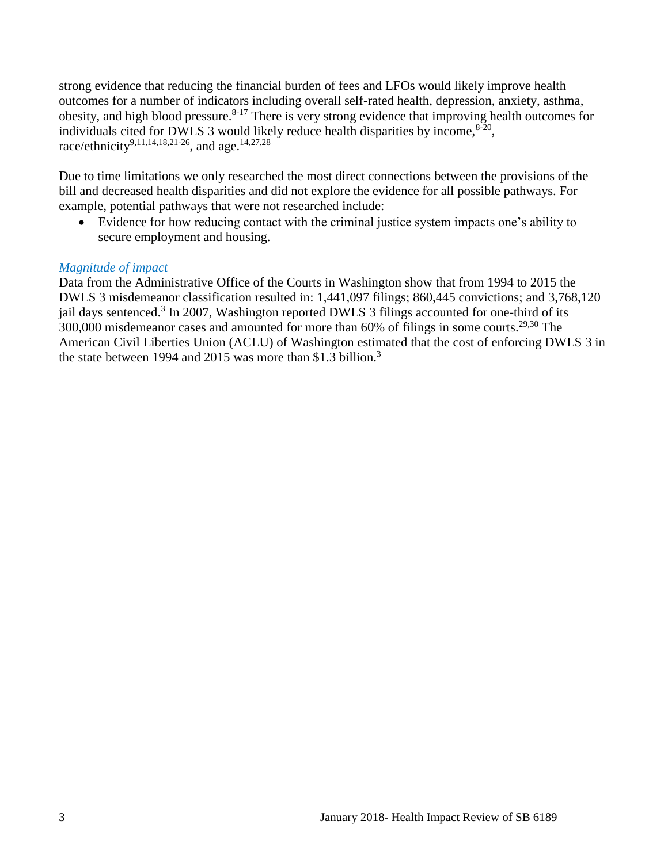strong evidence that reducing the financial burden of fees and LFOs would likely improve health outcomes for a number of indicators including overall self-rated health, depression, anxiety, asthma, obesity, and high blood pressure.<sup>8-17</sup> There is very strong evidence that improving health outcomes for individuals cited for DWLS 3 would likely reduce health disparities by income,  $8-20$ , race/ethnicity<sup>[9,](#page-12-0)[11,](#page-13-0)[14,](#page-14-0)[18,](#page-15-0)[21-26](#page-16-0)</sup>, and age.<sup>[14](#page-14-0)[,27](#page-17-0)[,28](#page-18-0)</sup>

Due to time limitations we only researched the most direct connections between the provisions of the bill and decreased health disparities and did not explore the evidence for all possible pathways. For example, potential pathways that were not researched include:

 Evidence for how reducing contact with the criminal justice system impacts one's ability to secure employment and housing.

#### *Magnitude of impact*

Data from the Administrative Office of the Courts in Washington show that from 1994 to 2015 the DWLS 3 misdemeanor classification resulted in: 1,441,097 filings; 860,445 convictions; and 3,768,120 jail days sentenced.<sup>3</sup> In 2007, Washington reported DWLS 3 filings accounted for one-third of its 300,000 misdemeanor cases and amounted for more than 60% of filings in some courts.<sup>[29,](#page-19-0)[30](#page-19-1)</sup> The American Civil Liberties Union (ACLU) of Washington estimated that the cost of enforcing DWLS 3 in the state between 1994 and 2015 was more than \$1.3 billion.<sup>3</sup>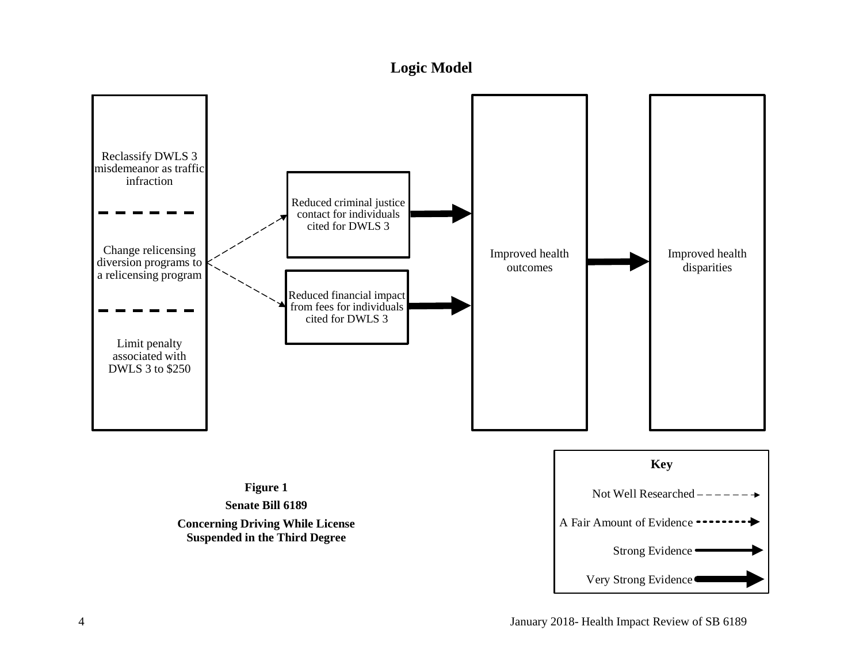# **Logic Model**

<span id="page-5-0"></span>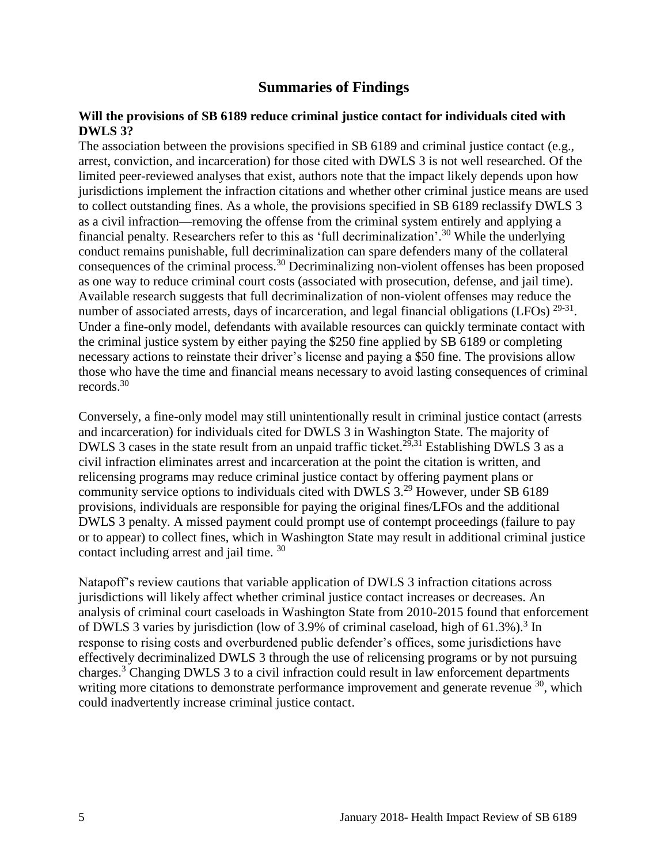# **Summaries of Findings**

#### <span id="page-6-0"></span>**Will the provisions of SB 6189 reduce criminal justice contact for individuals cited with DWLS 3?**

The association between the provisions specified in SB 6189 and criminal justice contact (e.g., arrest, conviction, and incarceration) for those cited with DWLS 3 is not well researched. Of the limited peer-reviewed analyses that exist, authors note that the impact likely depends upon how jurisdictions implement the infraction citations and whether other criminal justice means are used to collect outstanding fines. As a whole, the provisions specified in SB 6189 reclassify DWLS 3 as a civil infraction—removing the offense from the criminal system entirely and applying a financial penalty. Researchers refer to this as 'full decriminalization'.<sup>30</sup> While the underlying conduct remains punishable, full decriminalization can spare defenders many of the collateral consequences of the criminal process.<sup>30</sup> Decriminalizing non-violent offenses has been proposed as one way to reduce criminal court costs (associated with prosecution, defense, and jail time). Available research suggests that full decriminalization of non-violent offenses may reduce the number of associated arrests, days of incarceration, and legal financial obligations (LFOs)  $29-31$ . Under a fine-only model, defendants with available resources can quickly terminate contact with the criminal justice system by either paying the \$250 fine applied by SB 6189 or completing necessary actions to reinstate their driver's license and paying a \$50 fine. The provisions allow those who have the time and financial means necessary to avoid lasting consequences of criminal records.<sup>30</sup>

Conversely, a fine-only model may still unintentionally result in criminal justice contact (arrests and incarceration) for individuals cited for DWLS 3 in Washington State. The majority of DWLS 3 cases in the state result from an unpaid traffic ticket.<sup>[29](#page-19-0)[,31](#page-19-2)</sup> Establishing DWLS 3 as a civil infraction eliminates arrest and incarceration at the point the citation is written, and relicensing programs may reduce criminal justice contact by offering payment plans or community service options to individuals cited with DWLS 3.<sup>29</sup> However, under SB 6189 provisions, individuals are responsible for paying the original fines/LFOs and the additional DWLS 3 penalty. A missed payment could prompt use of contempt proceedings (failure to pay or to appear) to collect fines, which in Washington State may result in additional criminal justice contact including arrest and jail time. 30

Natapoff's review cautions that variable application of DWLS 3 infraction citations across jurisdictions will likely affect whether criminal justice contact increases or decreases. An analysis of criminal court caseloads in Washington State from 2010-2015 found that enforcement of DWLS 3 varies by jurisdiction (low of 3.9% of criminal caseload, high of  $61.3\%$ ).<sup>3</sup> In response to rising costs and overburdened public defender's offices, some jurisdictions have effectively decriminalized DWLS 3 through the use of relicensing programs or by not pursuing charges.<sup>3</sup> Changing [DWLS 3 to a civi](#page-12-1)l [infraction coul](#page-21-0)d result in law enforcement departments writing more citations to demonstrate performance improvement and generate revenue <sup>30</sup>, which could inadvertently increase criminal justice contact.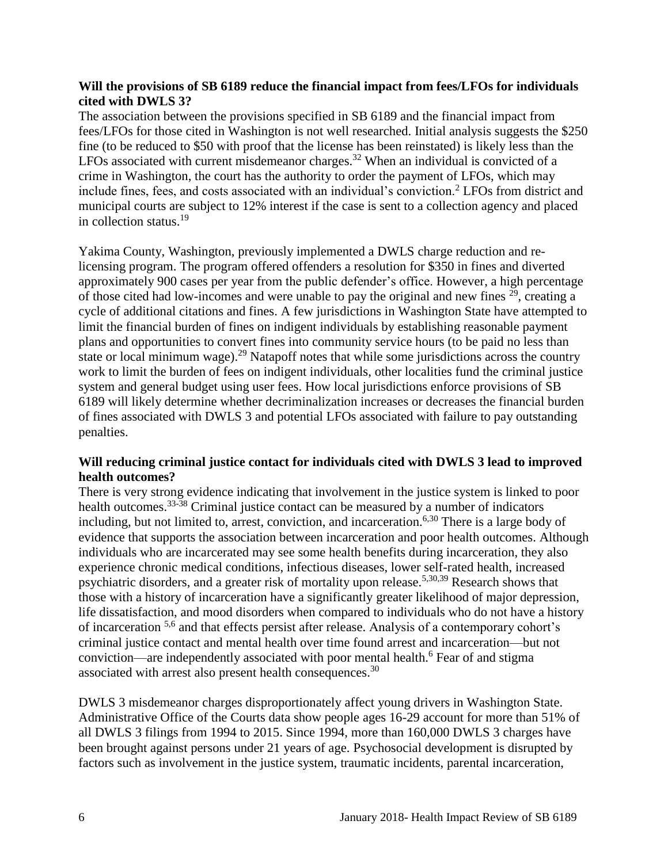#### **Will the provisions of SB 6189 reduce the financial impact from fees/LFOs for individuals cited with DWLS 3?**

The association between the provisions specified in SB 6189 and the financial impact from fees/LFOs for those cited in Washington is not well researched. Initial analysis suggests the \$250 fine (to be reduced to \$50 with proof that the license has been reinstated) is likely less than the LFOs associated with current misdemeanor charges.<sup>32</sup> When an individual is convicted of a crime in Washington, the court has the authority to order the payment of LFOs, which may include fines, fees, and costs associated with an individual's conviction.<sup>2</sup> LFOs from district and municipal courts are subject to 12% interest if the case is sent to a collection agency and placed in collection status.<sup>19</sup>

Yakima County, Washington, previously implemented a DWLS charge reduction and relicensing program. The program offered offenders a resolution for \$350 in fines and diverted approximately 900 cases per year from the public defender's office. However, a high percentage of those cited had low-incomes and were unable to pay the original and new fines  $29$ , creating a cycle of additional citations and fines. A few jurisdictions in Washington State have attempted to limit the financial burden of fines on indigent individuals by establishing reasonable payment plans and opportunities to convert fines into community service hours (to be paid no less than state or local minimum wage).<sup>29</sup> Natapoff notes that while some jurisdictions across the country work to limit the burden of fees on indigent individuals, other localities fund the criminal justice system and general budget using user fees. How local jurisdictions enforce provisions of SB 6189 will likely determine whether decriminalization increases or decreases the financial burden of fines associated with DWLS 3 and potential LFOs associated with failure to pay outstanding penalties.

#### **Will reducing criminal justice contact for individuals cited with DWLS 3 lead to improved health outcomes?**

There is very strong evidence indicating that involvement in the justice system is linked to poor health outcomes.<sup>33-38</sup> Criminal justice contact can be measured by a number of indicators including, but not limited to, arrest, conviction, and incarceration.<sup>[6,](#page-11-0)[30](#page-19-1)</sup> There is a large body of evidence that supports the association between incarceration and poor health outcomes. Although individuals who are incarcerated may see some health benefits during incarceration, they also experience chronic medical conditions, infectious diseases, lower self-rated health, increased psychiatric disorders, and a greater risk of mortality upon release.[5,](#page-11-1)[30](#page-19-1)[,39](#page-22-0) Research shows that those with a history of incarceration have a significantly greater likelihood of major depression, life dissatisfaction, and mood disorders when compared to individuals who do not have a history of incarceration <sup>[5,](#page-11-1)[6](#page-11-0)</sup> and that effects persist after release. Analysis of a contemporary cohort's criminal justice contact and mental health over time found arrest and incarceration—but not conviction—are independently associated with poor mental health.<sup>6</sup> Fear of and stigma associated with arrest also present health consequences.<sup>30</sup>

DWLS 3 misdemeanor charges disproportionately affect young drivers in Washington State. Administrative Office of the Courts data show people ages 16-29 account for more than 51% of all DWLS 3 filings from 1994 to 2015. Since 1994, more than 160,000 DWLS 3 charges have been brought against persons under 21 years of age. Psychosocial development is disrupted by factors such as involvement in the justice system, traumatic incidents, parental incarceration,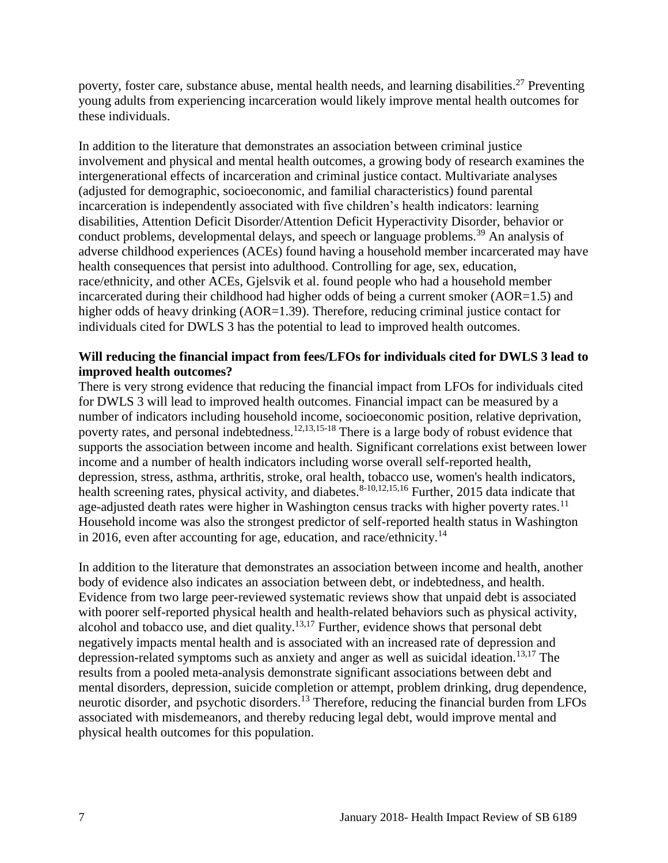poverty, foster care, substance abuse, mental health needs, and learning disabilities.<sup>27</sup> Preventing young adults from experiencing incarceration would likely improve mental health outcomes for these individuals.

In addition to the literature that demonstrates an association between criminal justice involvement and physical and mental health outcomes, a growing body of research examines the intergenerational effects of incarceration and criminal justice contact. Multivariate analyses (adjusted for demographic, socioeconomic, and familial characteristics) found parental incarceration is independently associated with five children's health indicators: learning disabilities, Attention Deficit Disorder/Attention Deficit Hyperactivity Disorder, behavior or conduct problems, developmental delays, and speech or language problems.<sup>39</sup> An analysis of adverse childhood experiences (ACEs) found having a household member incarcerated may have health consequences that persist into adulthood. Controlling for age, sex, education, race/ethnicity, and other ACEs, Gjelsvik et al. found people who had a household member incarcerated during their childhood had higher odds of being a current smoker (AOR=1.5) and higher odds of heavy drinking (AOR=1.39). Therefore, reducing criminal justice contact for individuals cited for DWLS 3 has the potential to lead to improved health outcomes.

#### **Will reducing the financial impact from fees/LFOs for individuals cited for DWLS 3 lead to improved health outcomes?**

There is very strong evidence that reducing the financial impact from LFOs for individuals cited for DWLS 3 will lead to improved health outcomes. Financial impact can be measured by a number of indicators including household income, socioeconomic position, relative deprivation, poverty rates, and personal indebtedness.<sup>[12,](#page-13-1)[13,](#page-13-2)[15-18](#page-14-1)</sup> There is a large body of robust evidence that supports the association between income and health. Significant correlations exist between lower income and a number of health indicators including worse overall self-reported health, depression, stress, asthma, arthritis, stroke, oral health, tobacco use, women's health indicators, health screening rates, physical activity, and diabetes.<sup>[8-10](#page-12-1)[,12](#page-13-1)[,15](#page-14-1)[,16](#page-14-2)</sup> Further, 2015 data indicate that age-adjusted death rates were higher in Washington census tracks with higher poverty rates.<sup>11</sup> Household income was also the strongest predictor of self-reported health status in Washington in 2016, even after accounting for age, education, and race/ethnicity.<sup>14</sup>

In addition to the literature that demonstrates an association between income and health, another body of evidence also indicates an association between debt, or indebtedness, and health. Evidence from two large peer-reviewed systematic reviews show that unpaid debt is associated with poorer self-reported physical health and health-related behaviors such as physical activity, alcohol and tobacco use, and diet quality.<sup>[13,](#page-13-2)[17](#page-14-3)</sup> Further, evidence shows that personal debt negatively impacts mental health and is associated with an increased rate of depression and depression-related symptoms such as anxiety and anger as well as suicidal ideation.<sup>[13](#page-13-2)[,17](#page-14-3)</sup> The results from a pooled meta-analysis demonstrate significant associations between debt and mental disorders, depression, suicide completion or attempt, problem drinking, drug dependence, neurotic disorder, and psychotic disorders.<sup>13</sup> Therefore, reducing the financial burden from LFOs associated with misdemeanors, and thereby reducing legal debt, would improve mental and physical health outcomes for this population.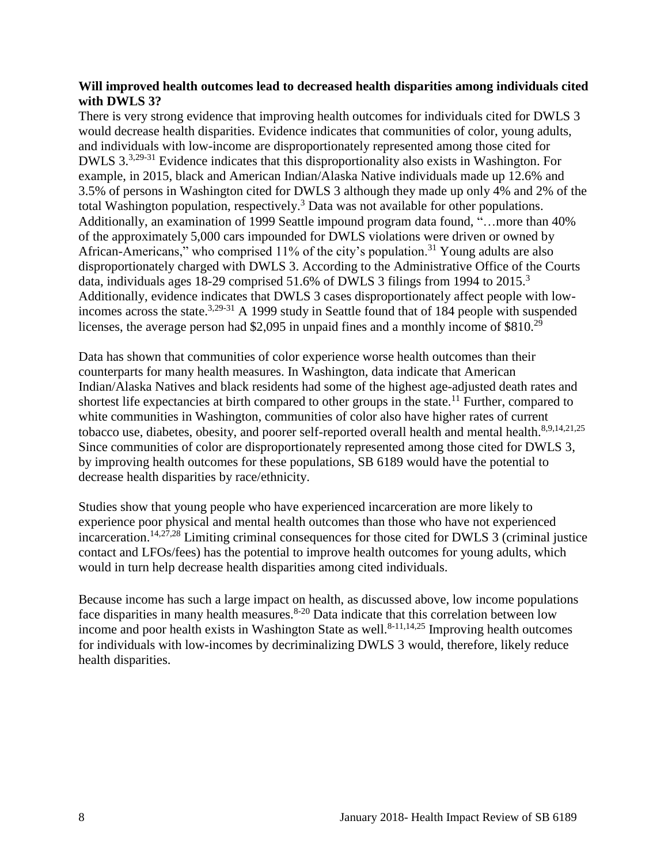#### **Will improved health outcomes lead to decreased health disparities among individuals cited with DWLS 3?**

There is very strong evidence that improving health outcomes for individuals cited for DWLS 3 would decrease health disparities. Evidence indicates that communities of color, young adults, and individuals with low-income are disproportionately represented among those cited for DWLS 3.[3](#page-10-1)[,29-31](#page-19-0) Evidence indicates that this disproportionality also exists in Washington. For example, in 2015, black and American Indian/Alaska Native individuals made up 12.6% and 3.5% of persons in Washington cited for DWLS 3 although they made up only 4% and 2% of the total Washington population, respectively.<sup>3</sup> Data was not available for other populations. Additionally, an examination of 1999 Seattle impound program data found, "…more than 40% of the approximately 5,000 cars impounded for DWLS violations were driven or owned by African-Americans," who comprised  $11\%$  of the city's population.<sup>31</sup> Young adults are also disproportionately charged with DWLS 3. According to the Administrative Office of the Courts data, individuals ages 18-29 comprised 51.6% of DWLS 3 filings from 1994 to 2015.<sup>3</sup> Additionally, evidence indicates that DWLS 3 cases disproportionately affect people with lowincomes across the state.[3,](#page-10-1)[29-31](#page-19-0) A 1999 study in Seattle found that of 184 people with suspended licenses, the average person had \$2,095 in unpaid fines and a monthly income of \$810.<sup>29</sup>

Data has shown that communities of color experience worse health outcomes than their counterparts for many health measures. In Washington, data indicate that American Indian/Alaska Natives and black residents had some of the highest age-adjusted death rates and shortest life expectancies at birth compared to other groups in the state.<sup>11</sup> Further, compared to white communities in Washington, communities of color also have higher rates of current tobacco use, diabetes, obesity, and poorer self-reported overall health and mental health.<sup>[8](#page-12-1)[,9](#page-12-0)[,14](#page-14-0)[,21](#page-16-0)[,25](#page-17-1)</sup> Since communities of color are disproportionately represented among those cited for DWLS 3, by improving health outcomes for these populations, SB 6189 would have the potential to decrease health disparities by race/ethnicity.

Studies show that young people who have experienced incarceration are more likely to experience poor physical and mental health outcomes than those who have not experienced incarceration.<sup>[14,](#page-14-0)[27,](#page-17-0)[28](#page-18-0)</sup> Limiting criminal consequences for those cited for DWLS 3 (criminal justice contact and LFOs/fees) has the potential to improve health outcomes for young adults, which would in turn help decrease health disparities among cited individuals.

Because income has such a large impact on health, as discussed above, low income populations face disparities in many health measures.  $8-20$  Data indicate that this correlation between low income and poor health exists in Washington State as well.<sup>[8-11](#page-12-1)[,14](#page-14-0)[,25](#page-17-1)</sup> Improving health outcomes for individuals with low-incomes by decriminalizing DWLS 3 would, therefore, likely reduce health disparities.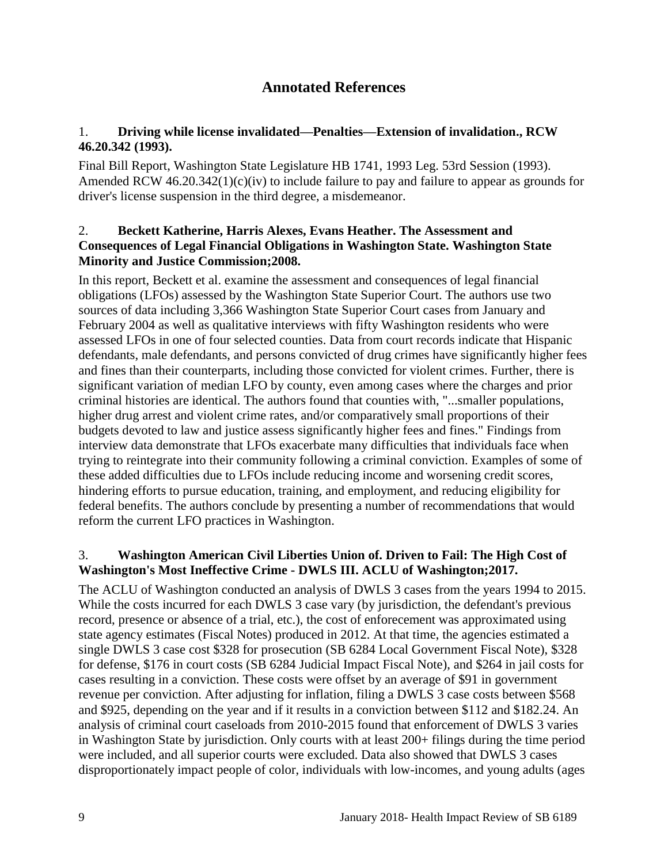# **Annotated References**

#### <span id="page-10-0"></span>1. **Driving while license invalidated—Penalties—Extension of invalidation., RCW 46.20.342 (1993).**

Final Bill Report, Washington State Legislature HB 1741, 1993 Leg. 53rd Session (1993). Amended RCW 46.20.342(1)(c)(iv) to include failure to pay and failure to appear as grounds for driver's license suspension in the third degree, a misdemeanor.

#### 2. **Beckett Katherine, Harris Alexes, Evans Heather. The Assessment and Consequences of Legal Financial Obligations in Washington State. Washington State Minority and Justice Commission;2008.**

In this report, Beckett et al. examine the assessment and consequences of legal financial obligations (LFOs) assessed by the Washington State Superior Court. The authors use two sources of data including 3,366 Washington State Superior Court cases from January and February 2004 as well as qualitative interviews with fifty Washington residents who were assessed LFOs in one of four selected counties. Data from court records indicate that Hispanic defendants, male defendants, and persons convicted of drug crimes have significantly higher fees and fines than their counterparts, including those convicted for violent crimes. Further, there is significant variation of median LFO by county, even among cases where the charges and prior criminal histories are identical. The authors found that counties with, "...smaller populations, higher drug arrest and violent crime rates, and/or comparatively small proportions of their budgets devoted to law and justice assess significantly higher fees and fines." Findings from interview data demonstrate that LFOs exacerbate many difficulties that individuals face when trying to reintegrate into their community following a criminal conviction. Examples of some of these added difficulties due to LFOs include reducing income and worsening credit scores, hindering efforts to pursue education, training, and employment, and reducing eligibility for federal benefits. The authors conclude by presenting a number of recommendations that would reform the current LFO practices in Washington.

## <span id="page-10-1"></span>3. **Washington American Civil Liberties Union of. Driven to Fail: The High Cost of Washington's Most Ineffective Crime - DWLS III. ACLU of Washington;2017.**

The ACLU of Washington conducted an analysis of DWLS 3 cases from the years 1994 to 2015. While the costs incurred for each DWLS 3 case vary (by jurisdiction, the defendant's previous record, presence or absence of a trial, etc.), the cost of enforecement was approximated using state agency estimates (Fiscal Notes) produced in 2012. At that time, the agencies estimated a single DWLS 3 case cost \$328 for prosecution (SB 6284 Local Government Fiscal Note), \$328 for defense, \$176 in court costs (SB 6284 Judicial Impact Fiscal Note), and \$264 in jail costs for cases resulting in a conviction. These costs were offset by an average of \$91 in government revenue per conviction. After adjusting for inflation, filing a DWLS 3 case costs between \$568 and \$925, depending on the year and if it results in a conviction between \$112 and \$182.24. An analysis of criminal court caseloads from 2010-2015 found that enforcement of DWLS 3 varies in Washington State by jurisdiction. Only courts with at least 200+ filings during the time period were included, and all superior courts were excluded. Data also showed that DWLS 3 cases disproportionately impact people of color, individuals with low-incomes, and young adults (ages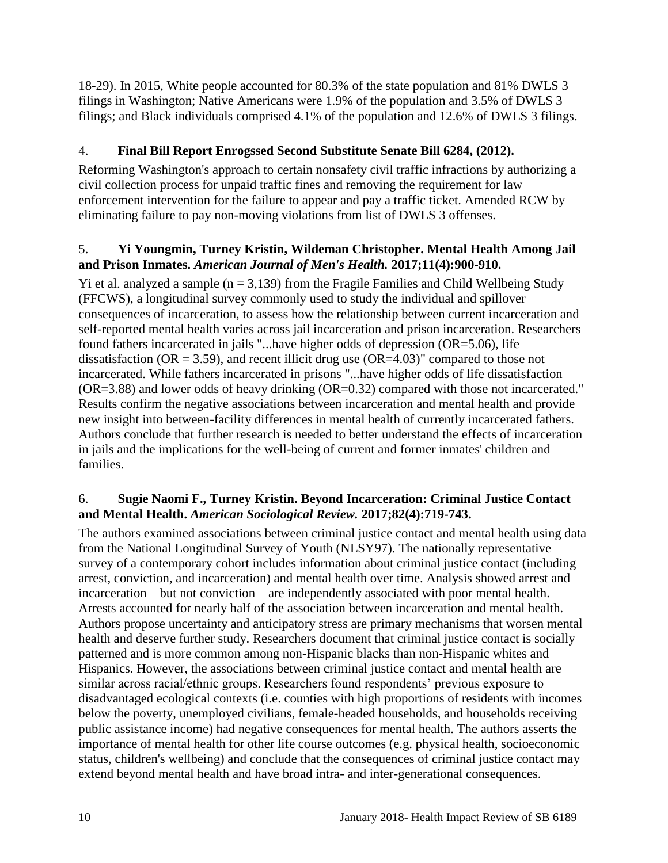18-29). In 2015, White people accounted for 80.3% of the state population and 81% DWLS 3 filings in Washington; Native Americans were 1.9% of the population and 3.5% of DWLS 3 filings; and Black individuals comprised 4.1% of the population and 12.6% of DWLS 3 filings.

# 4. **Final Bill Report Enrogssed Second Substitute Senate Bill 6284, (2012).**

Reforming Washington's approach to certain nonsafety civil traffic infractions by authorizing a civil collection process for unpaid traffic fines and removing the requirement for law enforcement intervention for the failure to appear and pay a traffic ticket. Amended RCW by eliminating failure to pay non-moving violations from list of DWLS 3 offenses.

#### <span id="page-11-1"></span>5. **Yi Youngmin, Turney Kristin, Wildeman Christopher. Mental Health Among Jail and Prison Inmates.** *American Journal of Men's Health.* **2017;11(4):900-910.**

Yi et al. analyzed a sample  $(n = 3,139)$  from the Fragile Families and Child Wellbeing Study (FFCWS), a longitudinal survey commonly used to study the individual and spillover consequences of incarceration, to assess how the relationship between current incarceration and self-reported mental health varies across jail incarceration and prison incarceration. Researchers found fathers incarcerated in jails "...have higher odds of depression (OR=5.06), life dissatisfaction ( $OR = 3.59$ ), and recent illicit drug use ( $OR = 4.03$ )" compared to those not incarcerated. While fathers incarcerated in prisons "...have higher odds of life dissatisfaction (OR=3.88) and lower odds of heavy drinking (OR=0.32) compared with those not incarcerated." Results confirm the negative associations between incarceration and mental health and provide new insight into between-facility differences in mental health of currently incarcerated fathers. Authors conclude that further research is needed to better understand the effects of incarceration in jails and the implications for the well-being of current and former inmates' children and families.

## <span id="page-11-0"></span>6. **Sugie Naomi F., Turney Kristin. Beyond Incarceration: Criminal Justice Contact and Mental Health.** *American Sociological Review.* **2017;82(4):719-743.**

The authors examined associations between criminal justice contact and mental health using data from the National Longitudinal Survey of Youth (NLSY97). The nationally representative survey of a contemporary cohort includes information about criminal justice contact (including arrest, conviction, and incarceration) and mental health over time. Analysis showed arrest and incarceration—but not conviction—are independently associated with poor mental health. Arrests accounted for nearly half of the association between incarceration and mental health. Authors propose uncertainty and anticipatory stress are primary mechanisms that worsen mental health and deserve further study. Researchers document that criminal justice contact is socially patterned and is more common among non-Hispanic blacks than non-Hispanic whites and Hispanics. However, the associations between criminal justice contact and mental health are similar across racial/ethnic groups. Researchers found respondents' previous exposure to disadvantaged ecological contexts (i.e. counties with high proportions of residents with incomes below the poverty, unemployed civilians, female-headed households, and households receiving public assistance income) had negative consequences for mental health. The authors asserts the importance of mental health for other life course outcomes (e.g. physical health, socioeconomic status, children's wellbeing) and conclude that the consequences of criminal justice contact may extend beyond mental health and have broad intra- and inter-generational consequences.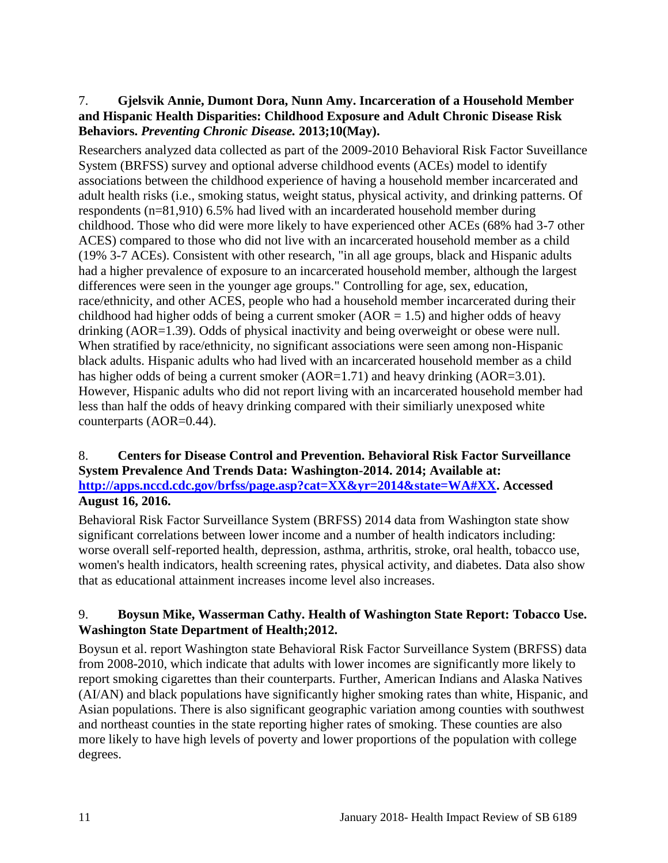#### 7. **Gjelsvik Annie, Dumont Dora, Nunn Amy. Incarceration of a Household Member and Hispanic Health Disparities: Childhood Exposure and Adult Chronic Disease Risk Behaviors.** *Preventing Chronic Disease.* **2013;10(May).**

Researchers analyzed data collected as part of the 2009-2010 Behavioral Risk Factor Suveillance System (BRFSS) survey and optional adverse childhood events (ACEs) model to identify associations between the childhood experience of having a household member incarcerated and adult health risks (i.e., smoking status, weight status, physical activity, and drinking patterns. Of respondents (n=81,910) 6.5% had lived with an incarderated household member during childhood. Those who did were more likely to have experienced other ACEs (68% had 3-7 other ACES) compared to those who did not live with an incarcerated household member as a child (19% 3-7 ACEs). Consistent with other research, "in all age groups, black and Hispanic adults had a higher prevalence of exposure to an incarcerated household member, although the largest differences were seen in the younger age groups." Controlling for age, sex, education, race/ethnicity, and other ACES, people who had a household member incarcerated during their childhood had higher odds of being a current smoker ( $AOR = 1.5$ ) and higher odds of heavy drinking (AOR=1.39). Odds of physical inactivity and being overweight or obese were null. When stratified by race/ethnicity, no significant associations were seen among non-Hispanic black adults. Hispanic adults who had lived with an incarcerated household member as a child has higher odds of being a current smoker (AOR=1.71) and heavy drinking (AOR=3.01). However, Hispanic adults who did not report living with an incarcerated household member had less than half the odds of heavy drinking compared with their similiarly unexposed white counterparts (AOR=0.44).

#### <span id="page-12-1"></span>8. **Centers for Disease Control and Prevention. Behavioral Risk Factor Surveillance System Prevalence And Trends Data: Washington-2014. 2014; Available at: [http://apps.nccd.cdc.gov/brfss/page.asp?cat=XX&yr=2014&state=WA#XX.](http://apps.nccd.cdc.gov/brfss/page.asp?cat=XX&yr=2014&state=WA#XX) Accessed August 16, 2016.**

Behavioral Risk Factor Surveillance System (BRFSS) 2014 data from Washington state show significant correlations between lower income and a number of health indicators including: worse overall self-reported health, depression, asthma, arthritis, stroke, oral health, tobacco use, women's health indicators, health screening rates, physical activity, and diabetes. Data also show that as educational attainment increases income level also increases.

## <span id="page-12-0"></span>9. **Boysun Mike, Wasserman Cathy. Health of Washington State Report: Tobacco Use. Washington State Department of Health;2012.**

Boysun et al. report Washington state Behavioral Risk Factor Surveillance System (BRFSS) data from 2008-2010, which indicate that adults with lower incomes are significantly more likely to report smoking cigarettes than their counterparts. Further, American Indians and Alaska Natives (AI/AN) and black populations have significantly higher smoking rates than white, Hispanic, and Asian populations. There is also significant geographic variation among counties with southwest and northeast counties in the state reporting higher rates of smoking. These counties are also more likely to have high levels of poverty and lower proportions of the population with college degrees.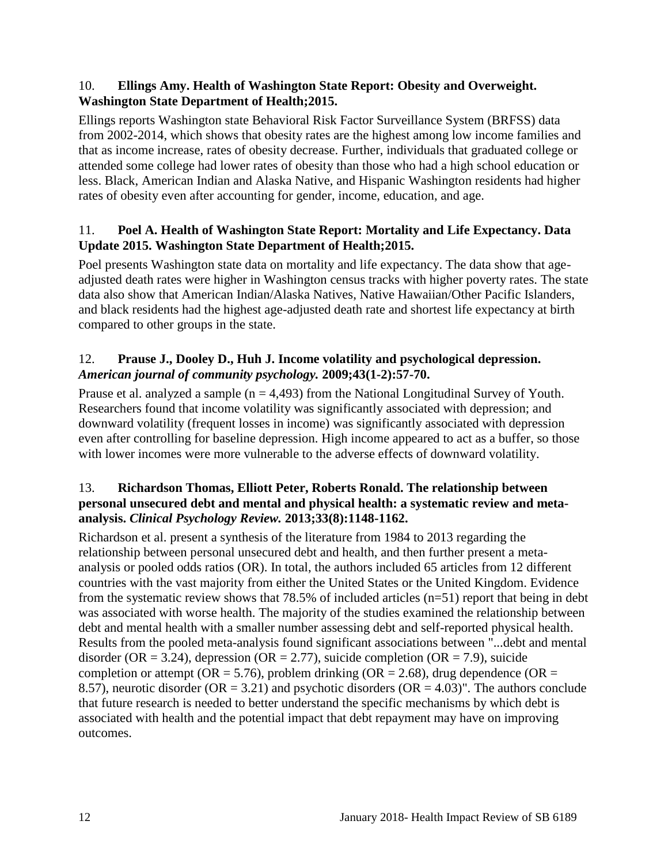#### 10. **Ellings Amy. Health of Washington State Report: Obesity and Overweight. Washington State Department of Health;2015.**

Ellings reports Washington state Behavioral Risk Factor Surveillance System (BRFSS) data from 2002-2014, which shows that obesity rates are the highest among low income families and that as income increase, rates of obesity decrease. Further, individuals that graduated college or attended some college had lower rates of obesity than those who had a high school education or less. Black, American Indian and Alaska Native, and Hispanic Washington residents had higher rates of obesity even after accounting for gender, income, education, and age.

# <span id="page-13-0"></span>11. **Poel A. Health of Washington State Report: Mortality and Life Expectancy. Data Update 2015. Washington State Department of Health;2015.**

Poel presents Washington state data on mortality and life expectancy. The data show that ageadjusted death rates were higher in Washington census tracks with higher poverty rates. The state data also show that American Indian/Alaska Natives, Native Hawaiian/Other Pacific Islanders, and black residents had the highest age-adjusted death rate and shortest life expectancy at birth compared to other groups in the state.

# <span id="page-13-1"></span>12. **Prause J., Dooley D., Huh J. Income volatility and psychological depression.**  *American journal of community psychology.* **2009;43(1-2):57-70.**

Prause et al. analyzed a sample  $(n = 4,493)$  from the National Longitudinal Survey of Youth. Researchers found that income volatility was significantly associated with depression; and downward volatility (frequent losses in income) was significantly associated with depression even after controlling for baseline depression. High income appeared to act as a buffer, so those with lower incomes were more vulnerable to the adverse effects of downward volatility.

#### <span id="page-13-2"></span>13. **Richardson Thomas, Elliott Peter, Roberts Ronald. The relationship between personal unsecured debt and mental and physical health: a systematic review and metaanalysis.** *Clinical Psychology Review.* **2013;33(8):1148-1162.**

Richardson et al. present a synthesis of the literature from 1984 to 2013 regarding the relationship between personal unsecured debt and health, and then further present a metaanalysis or pooled odds ratios (OR). In total, the authors included 65 articles from 12 different countries with the vast majority from either the United States or the United Kingdom. Evidence from the systematic review shows that 78.5% of included articles (n=51) report that being in debt was associated with worse health. The majority of the studies examined the relationship between debt and mental health with a smaller number assessing debt and self-reported physical health. Results from the pooled meta-analysis found significant associations between "...debt and mental disorder (OR = 3.24), depression (OR = 2.77), suicide completion (OR = 7.9), suicide completion or attempt ( $OR = 5.76$ ), problem drinking ( $OR = 2.68$ ), drug dependence ( $OR =$ 8.57), neurotic disorder ( $OR = 3.21$ ) and psychotic disorders ( $OR = 4.03$ )". The authors conclude that future research is needed to better understand the specific mechanisms by which debt is associated with health and the potential impact that debt repayment may have on improving outcomes.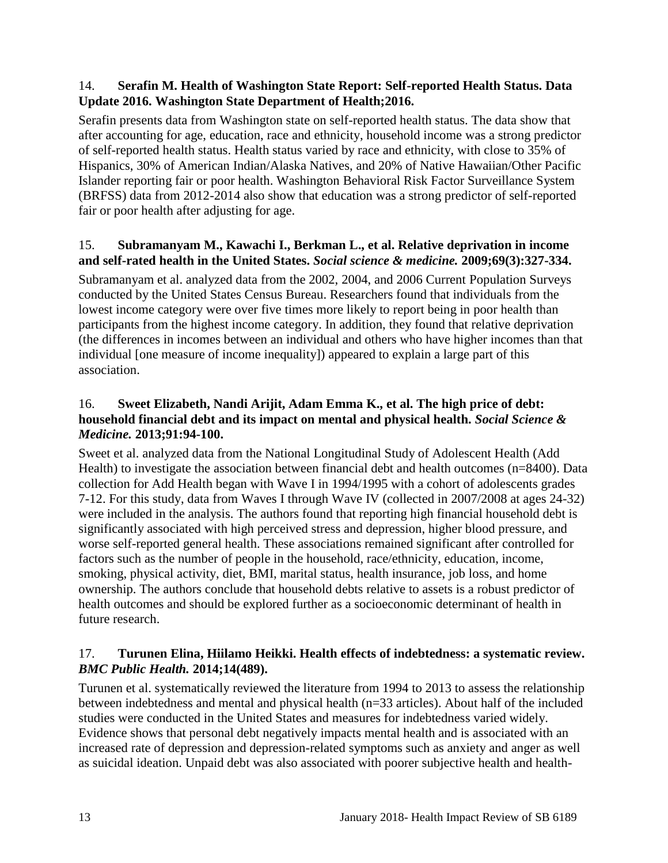#### <span id="page-14-0"></span>14. **Serafin M. Health of Washington State Report: Self-reported Health Status. Data Update 2016. Washington State Department of Health;2016.**

Serafin presents data from Washington state on self-reported health status. The data show that after accounting for age, education, race and ethnicity, household income was a strong predictor of self-reported health status. Health status varied by race and ethnicity, with close to 35% of Hispanics, 30% of American Indian/Alaska Natives, and 20% of Native Hawaiian/Other Pacific Islander reporting fair or poor health. Washington Behavioral Risk Factor Surveillance System (BRFSS) data from 2012-2014 also show that education was a strong predictor of self-reported fair or poor health after adjusting for age.

# <span id="page-14-1"></span>15. **Subramanyam M., Kawachi I., Berkman L., et al. Relative deprivation in income and self-rated health in the United States.** *Social science & medicine.* **2009;69(3):327-334.**

Subramanyam et al. analyzed data from the 2002, 2004, and 2006 Current Population Surveys conducted by the United States Census Bureau. Researchers found that individuals from the lowest income category were over five times more likely to report being in poor health than participants from the highest income category. In addition, they found that relative deprivation (the differences in incomes between an individual and others who have higher incomes than that individual [one measure of income inequality]) appeared to explain a large part of this association.

#### <span id="page-14-2"></span>16. **Sweet Elizabeth, Nandi Arijit, Adam Emma K., et al. The high price of debt: household financial debt and its impact on mental and physical health.** *Social Science & Medicine.* **2013;91:94-100.**

Sweet et al. analyzed data from the National Longitudinal Study of Adolescent Health (Add Health) to investigate the association between financial debt and health outcomes (n=8400). Data collection for Add Health began with Wave I in 1994/1995 with a cohort of adolescents grades 7-12. For this study, data from Waves I through Wave IV (collected in 2007/2008 at ages 24-32) were included in the analysis. The authors found that reporting high financial household debt is significantly associated with high perceived stress and depression, higher blood pressure, and worse self-reported general health. These associations remained significant after controlled for factors such as the number of people in the household, race/ethnicity, education, income, smoking, physical activity, diet, BMI, marital status, health insurance, job loss, and home ownership. The authors conclude that household debts relative to assets is a robust predictor of health outcomes and should be explored further as a socioeconomic determinant of health in future research.

# <span id="page-14-3"></span>17. **Turunen Elina, Hiilamo Heikki. Health effects of indebtedness: a systematic review.**  *BMC Public Health.* **2014;14(489).**

Turunen et al. systematically reviewed the literature from 1994 to 2013 to assess the relationship between indebtedness and mental and physical health (n=33 articles). About half of the included studies were conducted in the United States and measures for indebtedness varied widely. Evidence shows that personal debt negatively impacts mental health and is associated with an increased rate of depression and depression-related symptoms such as anxiety and anger as well as suicidal ideation. Unpaid debt was also associated with poorer subjective health and health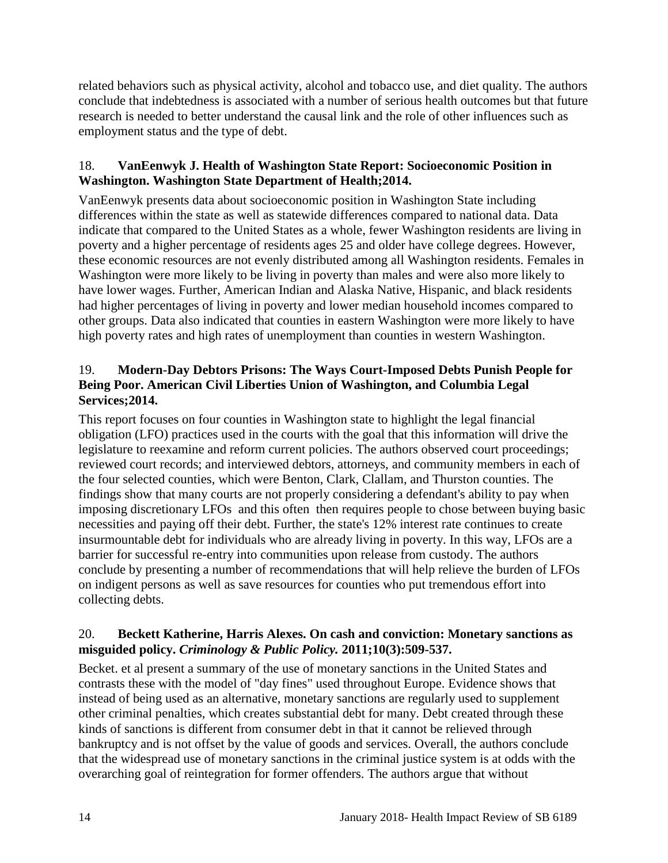related behaviors such as physical activity, alcohol and tobacco use, and diet quality. The authors conclude that indebtedness is associated with a number of serious health outcomes but that future research is needed to better understand the causal link and the role of other influences such as employment status and the type of debt.

# <span id="page-15-0"></span>18. **VanEenwyk J. Health of Washington State Report: Socioeconomic Position in Washington. Washington State Department of Health;2014.**

VanEenwyk presents data about socioeconomic position in Washington State including differences within the state as well as statewide differences compared to national data. Data indicate that compared to the United States as a whole, fewer Washington residents are living in poverty and a higher percentage of residents ages 25 and older have college degrees. However, these economic resources are not evenly distributed among all Washington residents. Females in Washington were more likely to be living in poverty than males and were also more likely to have lower wages. Further, American Indian and Alaska Native, Hispanic, and black residents had higher percentages of living in poverty and lower median household incomes compared to other groups. Data also indicated that counties in eastern Washington were more likely to have high poverty rates and high rates of unemployment than counties in western Washington.

# 19. **Modern-Day Debtors Prisons: The Ways Court-Imposed Debts Punish People for Being Poor. American Civil Liberties Union of Washington, and Columbia Legal Services;2014.**

This report focuses on four counties in Washington state to highlight the legal financial obligation (LFO) practices used in the courts with the goal that this information will drive the legislature to reexamine and reform current policies. The authors observed court proceedings; reviewed court records; and interviewed debtors, attorneys, and community members in each of the four selected counties, which were Benton, Clark, Clallam, and Thurston counties. The findings show that many courts are not properly considering a defendant's ability to pay when imposing discretionary LFOs and this often then requires people to chose between buying basic necessities and paying off their debt. Further, the state's 12% interest rate continues to create insurmountable debt for individuals who are already living in poverty. In this way, LFOs are a barrier for successful re-entry into communities upon release from custody. The authors conclude by presenting a number of recommendations that will help relieve the burden of LFOs on indigent persons as well as save resources for counties who put tremendous effort into collecting debts.

# 20. **Beckett Katherine, Harris Alexes. On cash and conviction: Monetary sanctions as misguided policy.** *Criminology & Public Policy.* **2011;10(3):509-537.**

Becket. et al present a summary of the use of monetary sanctions in the United States and contrasts these with the model of "day fines" used throughout Europe. Evidence shows that instead of being used as an alternative, monetary sanctions are regularly used to supplement other criminal penalties, which creates substantial debt for many. Debt created through these kinds of sanctions is different from consumer debt in that it cannot be relieved through bankruptcy and is not offset by the value of goods and services. Overall, the authors conclude that the widespread use of monetary sanctions in the criminal justice system is at odds with the overarching goal of reintegration for former offenders. The authors argue that without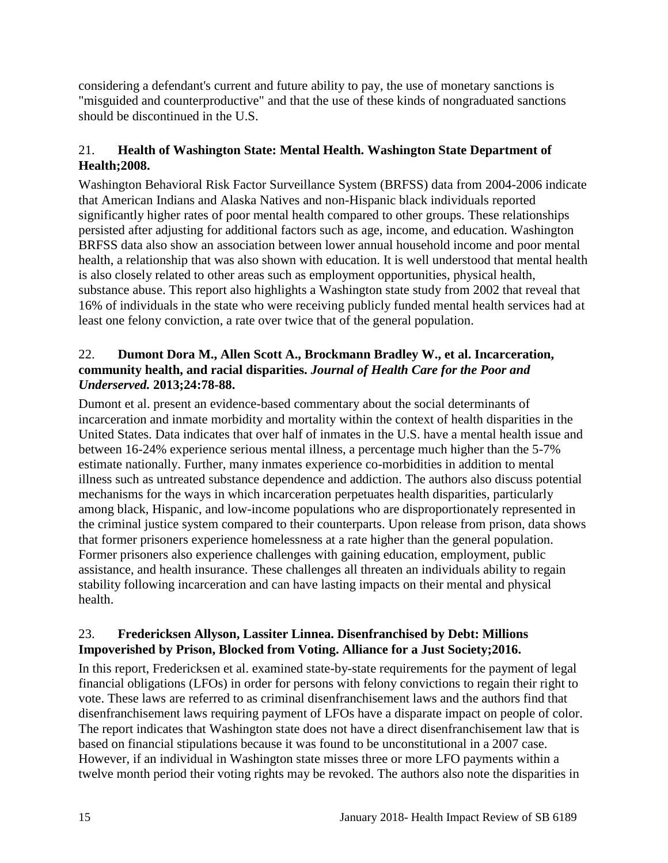considering a defendant's current and future ability to pay, the use of monetary sanctions is "misguided and counterproductive" and that the use of these kinds of nongraduated sanctions should be discontinued in the U.S.

# <span id="page-16-0"></span>21. **Health of Washington State: Mental Health. Washington State Department of Health;2008.**

Washington Behavioral Risk Factor Surveillance System (BRFSS) data from 2004-2006 indicate that American Indians and Alaska Natives and non-Hispanic black individuals reported significantly higher rates of poor mental health compared to other groups. These relationships persisted after adjusting for additional factors such as age, income, and education. Washington BRFSS data also show an association between lower annual household income and poor mental health, a relationship that was also shown with education. It is well understood that mental health is also closely related to other areas such as employment opportunities, physical health, substance abuse. This report also highlights a Washington state study from 2002 that reveal that 16% of individuals in the state who were receiving publicly funded mental health services had at least one felony conviction, a rate over twice that of the general population.

## 22. **Dumont Dora M., Allen Scott A., Brockmann Bradley W., et al. Incarceration, community health, and racial disparities.** *Journal of Health Care for the Poor and Underserved.* **2013;24:78-88.**

Dumont et al. present an evidence-based commentary about the social determinants of incarceration and inmate morbidity and mortality within the context of health disparities in the United States. Data indicates that over half of inmates in the U.S. have a mental health issue and between 16-24% experience serious mental illness, a percentage much higher than the 5-7% estimate nationally. Further, many inmates experience co-morbidities in addition to mental illness such as untreated substance dependence and addiction. The authors also discuss potential mechanisms for the ways in which incarceration perpetuates health disparities, particularly among black, Hispanic, and low-income populations who are disproportionately represented in the criminal justice system compared to their counterparts. Upon release from prison, data shows that former prisoners experience homelessness at a rate higher than the general population. Former prisoners also experience challenges with gaining education, employment, public assistance, and health insurance. These challenges all threaten an individuals ability to regain stability following incarceration and can have lasting impacts on their mental and physical health.

## 23. **Fredericksen Allyson, Lassiter Linnea. Disenfranchised by Debt: Millions Impoverished by Prison, Blocked from Voting. Alliance for a Just Society;2016.**

In this report, Fredericksen et al. examined state-by-state requirements for the payment of legal financial obligations (LFOs) in order for persons with felony convictions to regain their right to vote. These laws are referred to as criminal disenfranchisement laws and the authors find that disenfranchisement laws requiring payment of LFOs have a disparate impact on people of color. The report indicates that Washington state does not have a direct disenfranchisement law that is based on financial stipulations because it was found to be unconstitutional in a 2007 case. However, if an individual in Washington state misses three or more LFO payments within a twelve month period their voting rights may be revoked. The authors also note the disparities in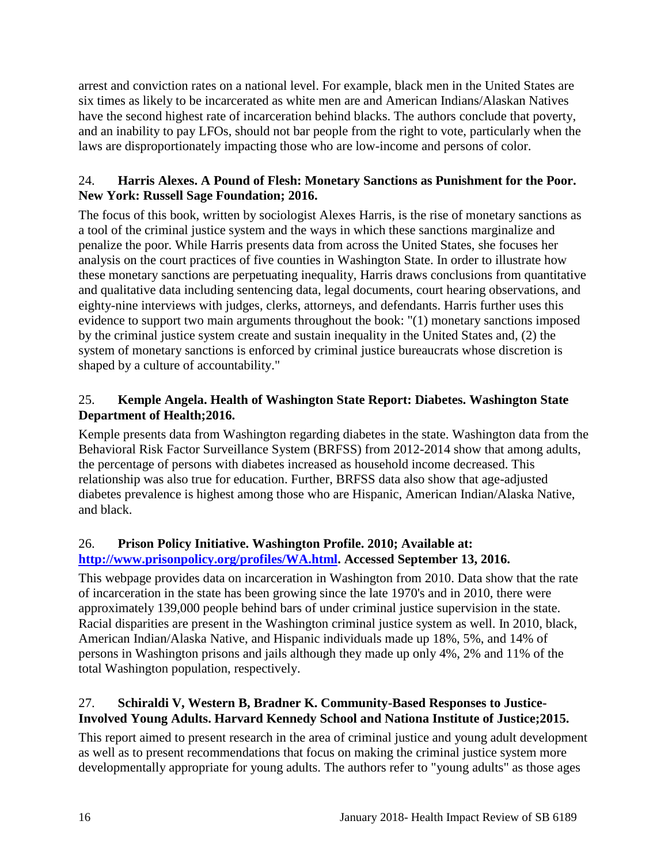arrest and conviction rates on a national level. For example, black men in the United States are six times as likely to be incarcerated as white men are and American Indians/Alaskan Natives have the second highest rate of incarceration behind blacks. The authors conclude that poverty, and an inability to pay LFOs, should not bar people from the right to vote, particularly when the laws are disproportionately impacting those who are low-income and persons of color.

# 24. **Harris Alexes. A Pound of Flesh: Monetary Sanctions as Punishment for the Poor. New York: Russell Sage Foundation; 2016.**

The focus of this book, written by sociologist Alexes Harris, is the rise of monetary sanctions as a tool of the criminal justice system and the ways in which these sanctions marginalize and penalize the poor. While Harris presents data from across the United States, she focuses her analysis on the court practices of five counties in Washington State. In order to illustrate how these monetary sanctions are perpetuating inequality, Harris draws conclusions from quantitative and qualitative data including sentencing data, legal documents, court hearing observations, and eighty-nine interviews with judges, clerks, attorneys, and defendants. Harris further uses this evidence to support two main arguments throughout the book: "(1) monetary sanctions imposed by the criminal justice system create and sustain inequality in the United States and, (2) the system of monetary sanctions is enforced by criminal justice bureaucrats whose discretion is shaped by a culture of accountability."

# <span id="page-17-1"></span>25. **Kemple Angela. Health of Washington State Report: Diabetes. Washington State Department of Health;2016.**

Kemple presents data from Washington regarding diabetes in the state. Washington data from the Behavioral Risk Factor Surveillance System (BRFSS) from 2012-2014 show that among adults, the percentage of persons with diabetes increased as household income decreased. This relationship was also true for education. Further, BRFSS data also show that age-adjusted diabetes prevalence is highest among those who are Hispanic, American Indian/Alaska Native, and black.

# 26. **Prison Policy Initiative. Washington Profile. 2010; Available at: [http://www.prisonpolicy.org/profiles/WA.html.](http://www.prisonpolicy.org/profiles/WA.html) Accessed September 13, 2016.**

This webpage provides data on incarceration in Washington from 2010. Data show that the rate of incarceration in the state has been growing since the late 1970's and in 2010, there were approximately 139,000 people behind bars of under criminal justice supervision in the state. Racial disparities are present in the Washington criminal justice system as well. In 2010, black, American Indian/Alaska Native, and Hispanic individuals made up 18%, 5%, and 14% of persons in Washington prisons and jails although they made up only 4%, 2% and 11% of the total Washington population, respectively.

# <span id="page-17-0"></span>27. **Schiraldi V, Western B, Bradner K. Community-Based Responses to Justice-Involved Young Adults. Harvard Kennedy School and Nationa Institute of Justice;2015.**

This report aimed to present research in the area of criminal justice and young adult development as well as to present recommendations that focus on making the criminal justice system more developmentally appropriate for young adults. The authors refer to "young adults" as those ages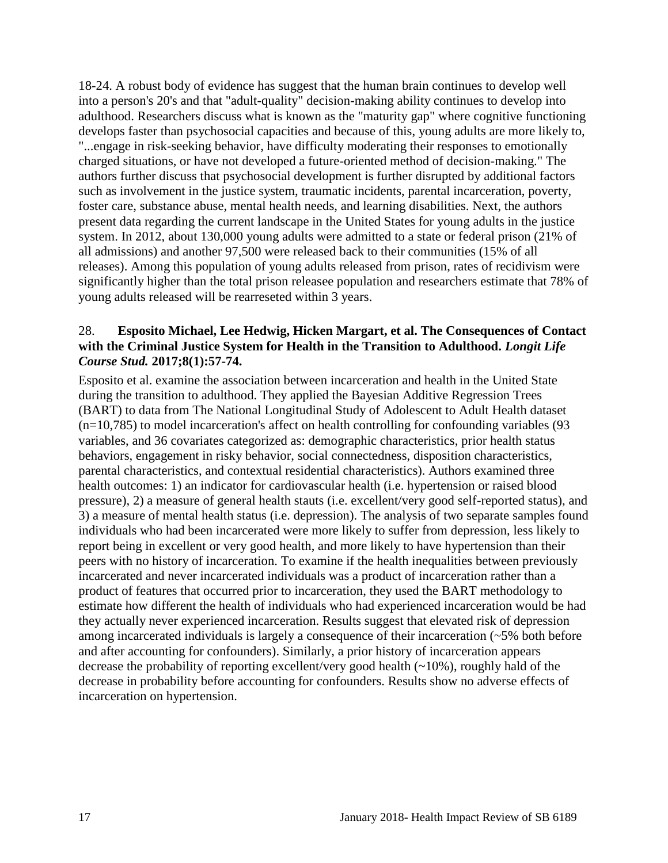18-24. A robust body of evidence has suggest that the human brain continues to develop well into a person's 20's and that "adult-quality" decision-making ability continues to develop into adulthood. Researchers discuss what is known as the "maturity gap" where cognitive functioning develops faster than psychosocial capacities and because of this, young adults are more likely to, "...engage in risk-seeking behavior, have difficulty moderating their responses to emotionally charged situations, or have not developed a future-oriented method of decision-making." The authors further discuss that psychosocial development is further disrupted by additional factors such as involvement in the justice system, traumatic incidents, parental incarceration, poverty, foster care, substance abuse, mental health needs, and learning disabilities. Next, the authors present data regarding the current landscape in the United States for young adults in the justice system. In 2012, about 130,000 young adults were admitted to a state or federal prison (21% of all admissions) and another 97,500 were released back to their communities (15% of all releases). Among this population of young adults released from prison, rates of recidivism were significantly higher than the total prison releasee population and researchers estimate that 78% of young adults released will be rearreseted within 3 years.

#### <span id="page-18-0"></span>28. **Esposito Michael, Lee Hedwig, Hicken Margart, et al. The Consequences of Contact with the Criminal Justice System for Health in the Transition to Adulthood.** *Longit Life Course Stud.* **2017;8(1):57-74.**

Esposito et al. examine the association between incarceration and health in the United State during the transition to adulthood. They applied the Bayesian Additive Regression Trees (BART) to data from The National Longitudinal Study of Adolescent to Adult Health dataset (n=10,785) to model incarceration's affect on health controlling for confounding variables (93 variables, and 36 covariates categorized as: demographic characteristics, prior health status behaviors, engagement in risky behavior, social connectedness, disposition characteristics, parental characteristics, and contextual residential characteristics). Authors examined three health outcomes: 1) an indicator for cardiovascular health (i.e. hypertension or raised blood pressure), 2) a measure of general health stauts (i.e. excellent/very good self-reported status), and 3) a measure of mental health status (i.e. depression). The analysis of two separate samples found individuals who had been incarcerated were more likely to suffer from depression, less likely to report being in excellent or very good health, and more likely to have hypertension than their peers with no history of incarceration. To examine if the health inequalities between previously incarcerated and never incarcerated individuals was a product of incarceration rather than a product of features that occurred prior to incarceration, they used the BART methodology to estimate how different the health of individuals who had experienced incarceration would be had they actually never experienced incarceration. Results suggest that elevated risk of depression among incarcerated individuals is largely a consequence of their incarceration (~5% both before and after accounting for confounders). Similarly, a prior history of incarceration appears decrease the probability of reporting excellent/very good health  $(\sim 10\%)$ , roughly hald of the decrease in probability before accounting for confounders. Results show no adverse effects of incarceration on hypertension.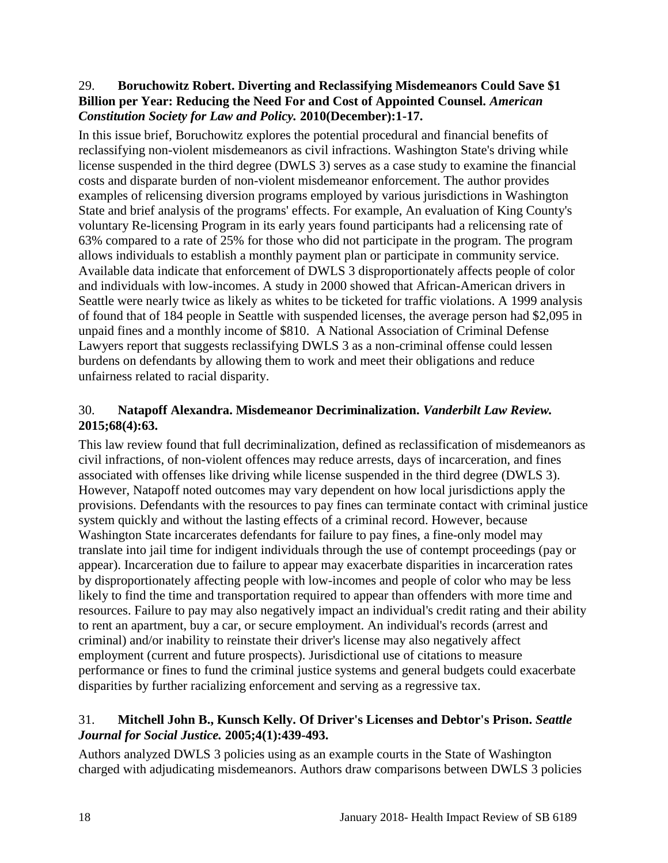#### <span id="page-19-0"></span>29. **Boruchowitz Robert. Diverting and Reclassifying Misdemeanors Could Save \$1 Billion per Year: Reducing the Need For and Cost of Appointed Counsel.** *American Constitution Society for Law and Policy.* **2010(December):1-17.**

In this issue brief, Boruchowitz explores the potential procedural and financial benefits of reclassifying non-violent misdemeanors as civil infractions. Washington State's driving while license suspended in the third degree (DWLS 3) serves as a case study to examine the financial costs and disparate burden of non-violent misdemeanor enforcement. The author provides examples of relicensing diversion programs employed by various jurisdictions in Washington State and brief analysis of the programs' effects. For example, An evaluation of King County's voluntary Re-licensing Program in its early years found participants had a relicensing rate of 63% compared to a rate of 25% for those who did not participate in the program. The program allows individuals to establish a monthly payment plan or participate in community service. Available data indicate that enforcement of DWLS 3 disproportionately affects people of color and individuals with low-incomes. A study in 2000 showed that African-American drivers in Seattle were nearly twice as likely as whites to be ticketed for traffic violations. A 1999 analysis of found that of 184 people in Seattle with suspended licenses, the average person had \$2,095 in unpaid fines and a monthly income of \$810. A National Association of Criminal Defense Lawyers report that suggests reclassifying DWLS 3 as a non-criminal offense could lessen burdens on defendants by allowing them to work and meet their obligations and reduce unfairness related to racial disparity.

# <span id="page-19-1"></span>30. **Natapoff Alexandra. Misdemeanor Decriminalization.** *Vanderbilt Law Review.*  **2015;68(4):63.**

This law review found that full decriminalization, defined as reclassification of misdemeanors as civil infractions, of non-violent offences may reduce arrests, days of incarceration, and fines associated with offenses like driving while license suspended in the third degree (DWLS 3). However, Natapoff noted outcomes may vary dependent on how local jurisdictions apply the provisions. Defendants with the resources to pay fines can terminate contact with criminal justice system quickly and without the lasting effects of a criminal record. However, because Washington State incarcerates defendants for failure to pay fines, a fine-only model may translate into jail time for indigent individuals through the use of contempt proceedings (pay or appear). Incarceration due to failure to appear may exacerbate disparities in incarceration rates by disproportionately affecting people with low-incomes and people of color who may be less likely to find the time and transportation required to appear than offenders with more time and resources. Failure to pay may also negatively impact an individual's credit rating and their ability to rent an apartment, buy a car, or secure employment. An individual's records (arrest and criminal) and/or inability to reinstate their driver's license may also negatively affect employment (current and future prospects). Jurisdictional use of citations to measure performance or fines to fund the criminal justice systems and general budgets could exacerbate disparities by further racializing enforcement and serving as a regressive tax.

## <span id="page-19-2"></span>31. **Mitchell John B., Kunsch Kelly. Of Driver's Licenses and Debtor's Prison.** *Seattle Journal for Social Justice.* **2005;4(1):439-493.**

Authors analyzed DWLS 3 policies using as an example courts in the State of Washington charged with adjudicating misdemeanors. Authors draw comparisons between DWLS 3 policies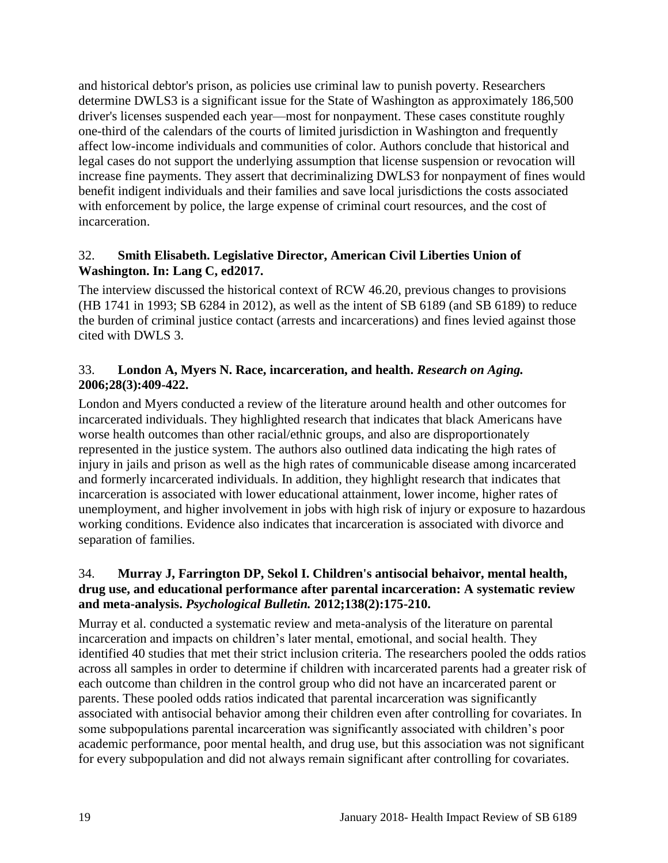and historical debtor's prison, as policies use criminal law to punish poverty. Researchers determine DWLS3 is a significant issue for the State of Washington as approximately 186,500 driver's licenses suspended each year—most for nonpayment. These cases constitute roughly one-third of the calendars of the courts of limited jurisdiction in Washington and frequently affect low-income individuals and communities of color. Authors conclude that historical and legal cases do not support the underlying assumption that license suspension or revocation will increase fine payments. They assert that decriminalizing DWLS3 for nonpayment of fines would benefit indigent individuals and their families and save local jurisdictions the costs associated with enforcement by police, the large expense of criminal court resources, and the cost of incarceration.

#### 32. **Smith Elisabeth. Legislative Director, American Civil Liberties Union of Washington. In: Lang C, ed2017.**

The interview discussed the historical context of RCW 46.20, previous changes to provisions (HB 1741 in 1993; SB 6284 in 2012), as well as the intent of SB 6189 (and SB 6189) to reduce the burden of criminal justice contact (arrests and incarcerations) and fines levied against those cited with DWLS 3.

#### 33. **London A, Myers N. Race, incarceration, and health.** *Research on Aging.*  **2006;28(3):409-422.**

London and Myers conducted a review of the literature around health and other outcomes for incarcerated individuals. They highlighted research that indicates that black Americans have worse health outcomes than other racial/ethnic groups, and also are disproportionately represented in the justice system. The authors also outlined data indicating the high rates of injury in jails and prison as well as the high rates of communicable disease among incarcerated and formerly incarcerated individuals. In addition, they highlight research that indicates that incarceration is associated with lower educational attainment, lower income, higher rates of unemployment, and higher involvement in jobs with high risk of injury or exposure to hazardous working conditions. Evidence also indicates that incarceration is associated with divorce and separation of families.

# 34. **Murray J, Farrington DP, Sekol I. Children's antisocial behaivor, mental health, drug use, and educational performance after parental incarceration: A systematic review and meta-analysis.** *Psychological Bulletin.* **2012;138(2):175-210.**

Murray et al. conducted a systematic review and meta-analysis of the literature on parental incarceration and impacts on children's later mental, emotional, and social health. They identified 40 studies that met their strict inclusion criteria. The researchers pooled the odds ratios across all samples in order to determine if children with incarcerated parents had a greater risk of each outcome than children in the control group who did not have an incarcerated parent or parents. These pooled odds ratios indicated that parental incarceration was significantly associated with antisocial behavior among their children even after controlling for covariates. In some subpopulations parental incarceration was significantly associated with children's poor academic performance, poor mental health, and drug use, but this association was not significant for every subpopulation and did not always remain significant after controlling for covariates.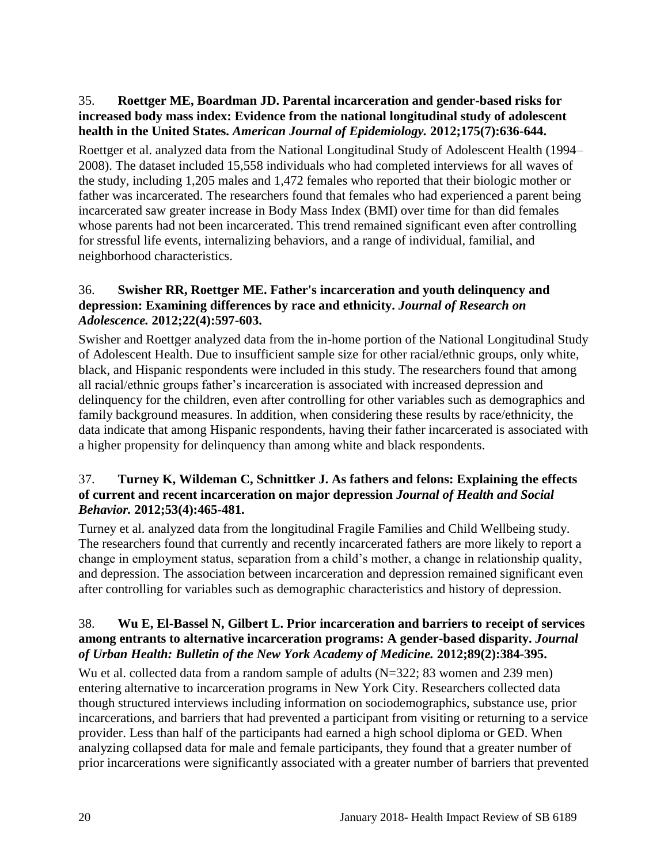## 35. **Roettger ME, Boardman JD. Parental incarceration and gender-based risks for increased body mass index: Evidence from the national longitudinal study of adolescent health in the United States.** *American Journal of Epidemiology.* **2012;175(7):636-644.**

Roettger et al. analyzed data from the National Longitudinal Study of Adolescent Health (1994– 2008). The dataset included 15,558 individuals who had completed interviews for all waves of the study, including 1,205 males and 1,472 females who reported that their biologic mother or father was incarcerated. The researchers found that females who had experienced a parent being incarcerated saw greater increase in Body Mass Index (BMI) over time for than did females whose parents had not been incarcerated. This trend remained significant even after controlling for stressful life events, internalizing behaviors, and a range of individual, familial, and neighborhood characteristics.

# 36. **Swisher RR, Roettger ME. Father's incarceration and youth delinquency and depression: Examining differences by race and ethnicity.** *Journal of Research on Adolescence.* **2012;22(4):597-603.**

Swisher and Roettger analyzed data from the in-home portion of the National Longitudinal Study of Adolescent Health. Due to insufficient sample size for other racial/ethnic groups, only white, black, and Hispanic respondents were included in this study. The researchers found that among all racial/ethnic groups father's incarceration is associated with increased depression and delinquency for the children, even after controlling for other variables such as demographics and family background measures. In addition, when considering these results by race/ethnicity, the data indicate that among Hispanic respondents, having their father incarcerated is associated with a higher propensity for delinquency than among white and black respondents.

#### <span id="page-21-0"></span>37. **Turney K, Wildeman C, Schnittker J. As fathers and felons: Explaining the effects of current and recent incarceration on major depression** *Journal of Health and Social Behavior.* **2012;53(4):465-481.**

Turney et al. analyzed data from the longitudinal Fragile Families and Child Wellbeing study. The researchers found that currently and recently incarcerated fathers are more likely to report a change in employment status, separation from a child's mother, a change in relationship quality, and depression. The association between incarceration and depression remained significant even after controlling for variables such as demographic characteristics and history of depression.

#### 38. **Wu E, El-Bassel N, Gilbert L. Prior incarceration and barriers to receipt of services among entrants to alternative incarceration programs: A gender-based disparity.** *Journal of Urban Health: Bulletin of the New York Academy of Medicine.* **2012;89(2):384-395.**

Wu et al. collected data from a random sample of adults (N=322; 83 women and 239 men) entering alternative to incarceration programs in New York City. Researchers collected data though structured interviews including information on sociodemographics, substance use, prior incarcerations, and barriers that had prevented a participant from visiting or returning to a service provider. Less than half of the participants had earned a high school diploma or GED. When analyzing collapsed data for male and female participants, they found that a greater number of prior incarcerations were significantly associated with a greater number of barriers that prevented